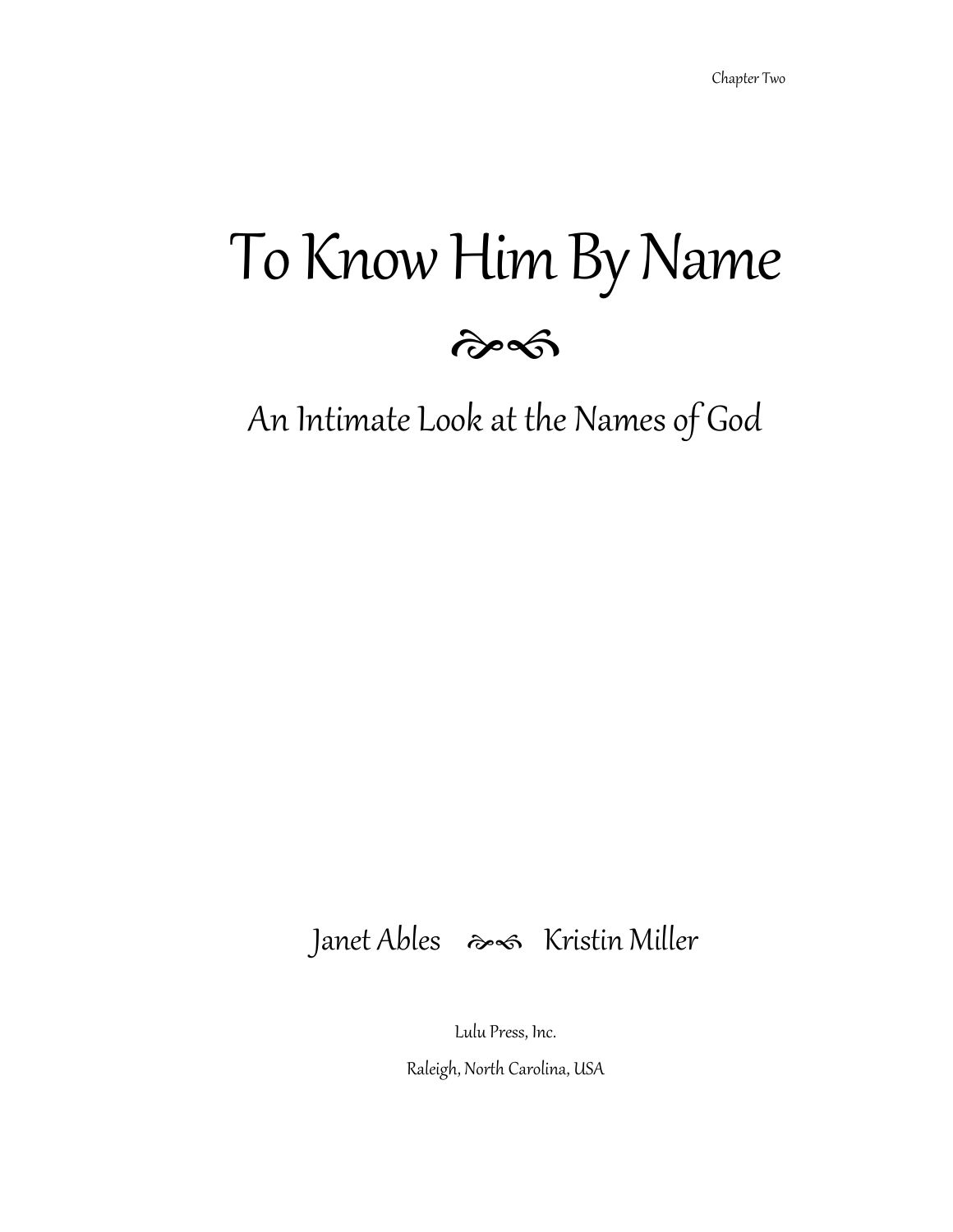# To Know Him By Name



An Intimate Look at the Names of God

### Janet Ables  $\gg$  Kristin Miller

Lulu Press, Inc.

Raleigh, North Carolina, USA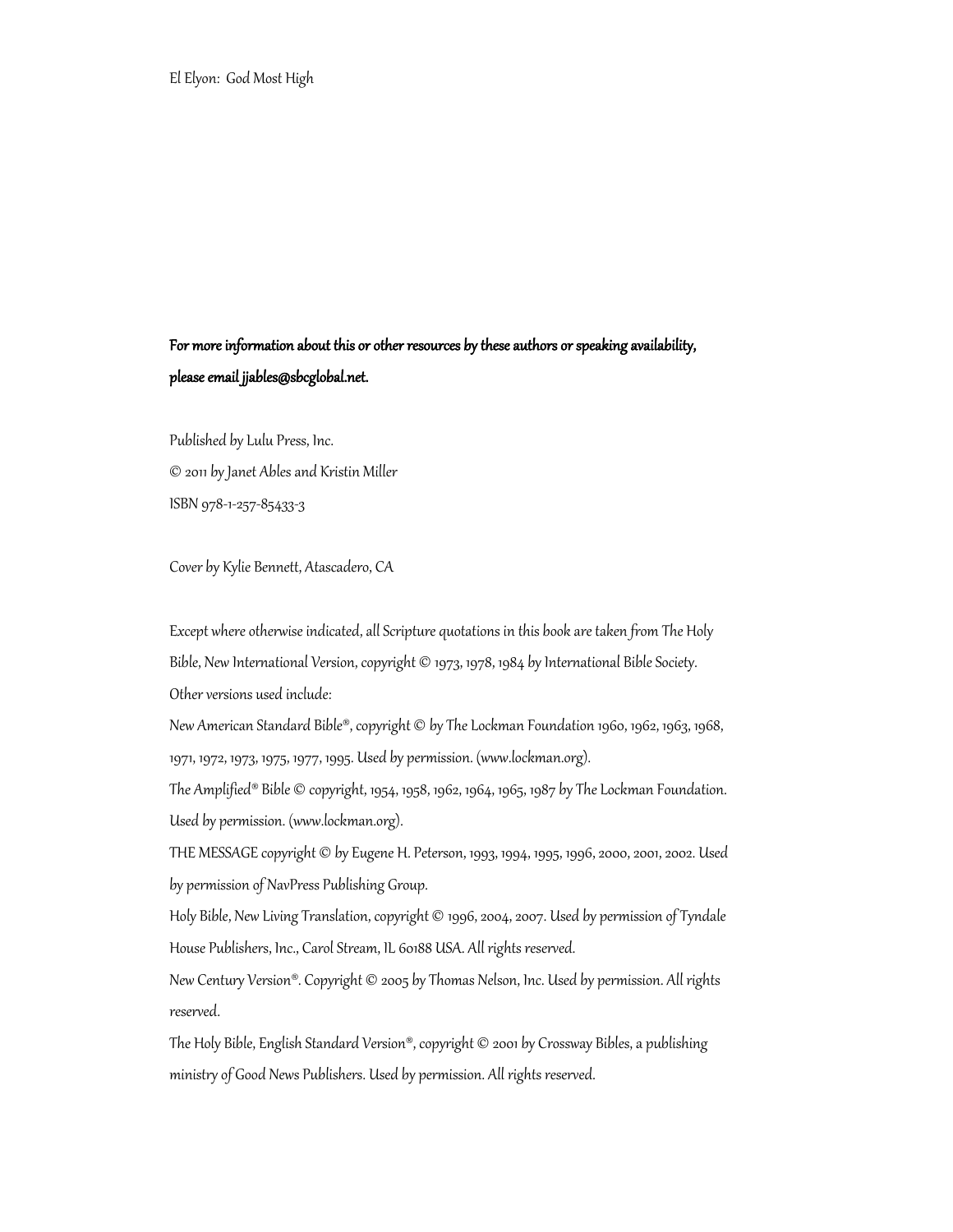#### For more information about this or other resources by these authors or speaking availability, please email jjables@sbcglobal.net.

Published by Lulu Press, Inc. © 2011 by Janet Ables and Kristin Miller ISBN 978-1-257-85433-3

Cover by Kylie Bennett, Atascadero, CA

Except where otherwise indicated, all Scripture quotations in this book are taken from The Holy Bible, New International Version, copyright © 1973, 1978, 1984 by International Bible Society. Other versions used include:

New American Standard Bible®, copyright © by The Lockman Foundation 1960, 1962, 1963, 1968, 1971, 1972, 1973, 1975, 1977, 1995. Used by permission. (www.lockman.org).

The Amplified® Bible © copyright, 1954, 1958, 1962, 1964, 1965, 1987 by The Lockman Foundation. Used by permission. (www.lockman.org).

THE MESSAGE copyright © by Eugene H. Peterson, 1993, 1994, 1995, 1996, 2000, 2001, 2002. Used by permission of NavPress Publishing Group.

Holy Bible, New Living Translation, copyright © 1996, 2004, 2007. Used by permission of Tyndale House Publishers, Inc., Carol Stream, IL 60188 USA. All rights reserved.

New Century Version®. Copyright © 2005 by Thomas Nelson, Inc. Used by permission. All rights reserved.

The Holy Bible, English Standard Version®, copyright © 2001 by Crossway Bibles, a publishing ministry of Good News Publishers. Used by permission. All rights reserved.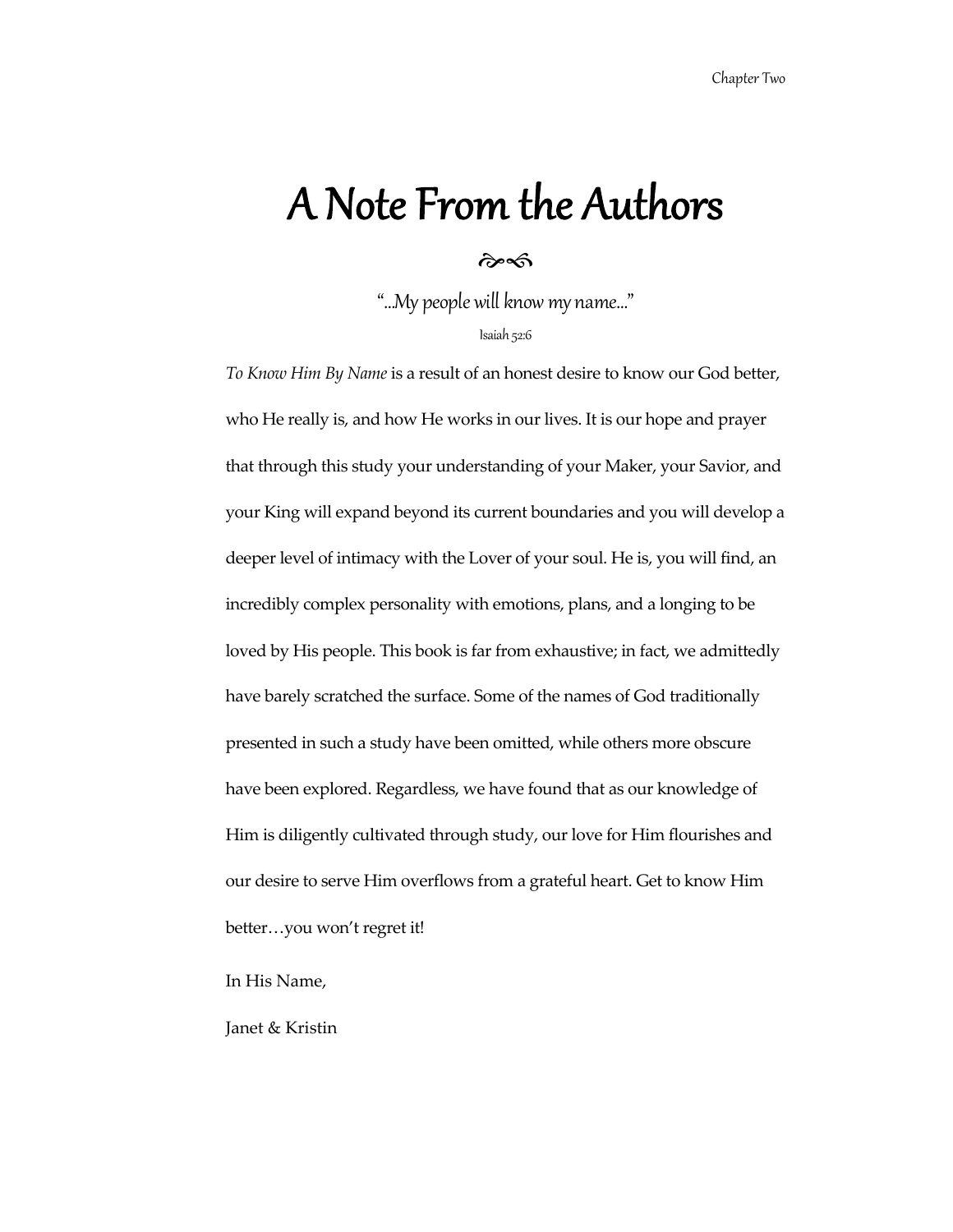### A Note From the Authors

#### $\hat{\sigma}$

"…My people will know my name…"

Isaiah 52:6

*To Know Him By Name* is a result of an honest desire to know our God better, who He really is, and how He works in our lives. It is our hope and prayer that through this study your understanding of your Maker, your Savior, and your King will expand beyond its current boundaries and you will develop a deeper level of intimacy with the Lover of your soul. He is, you will find, an incredibly complex personality with emotions, plans, and a longing to be loved by His people. This book is far from exhaustive; in fact, we admittedly have barely scratched the surface. Some of the names of God traditionally presented in such a study have been omitted, while others more obscure have been explored. Regardless, we have found that as our knowledge of Him is diligently cultivated through study, our love for Him flourishes and our desire to serve Him overflows from a grateful heart. Get to know Him better…you won't regret it!

In His Name,

Janet & Kristin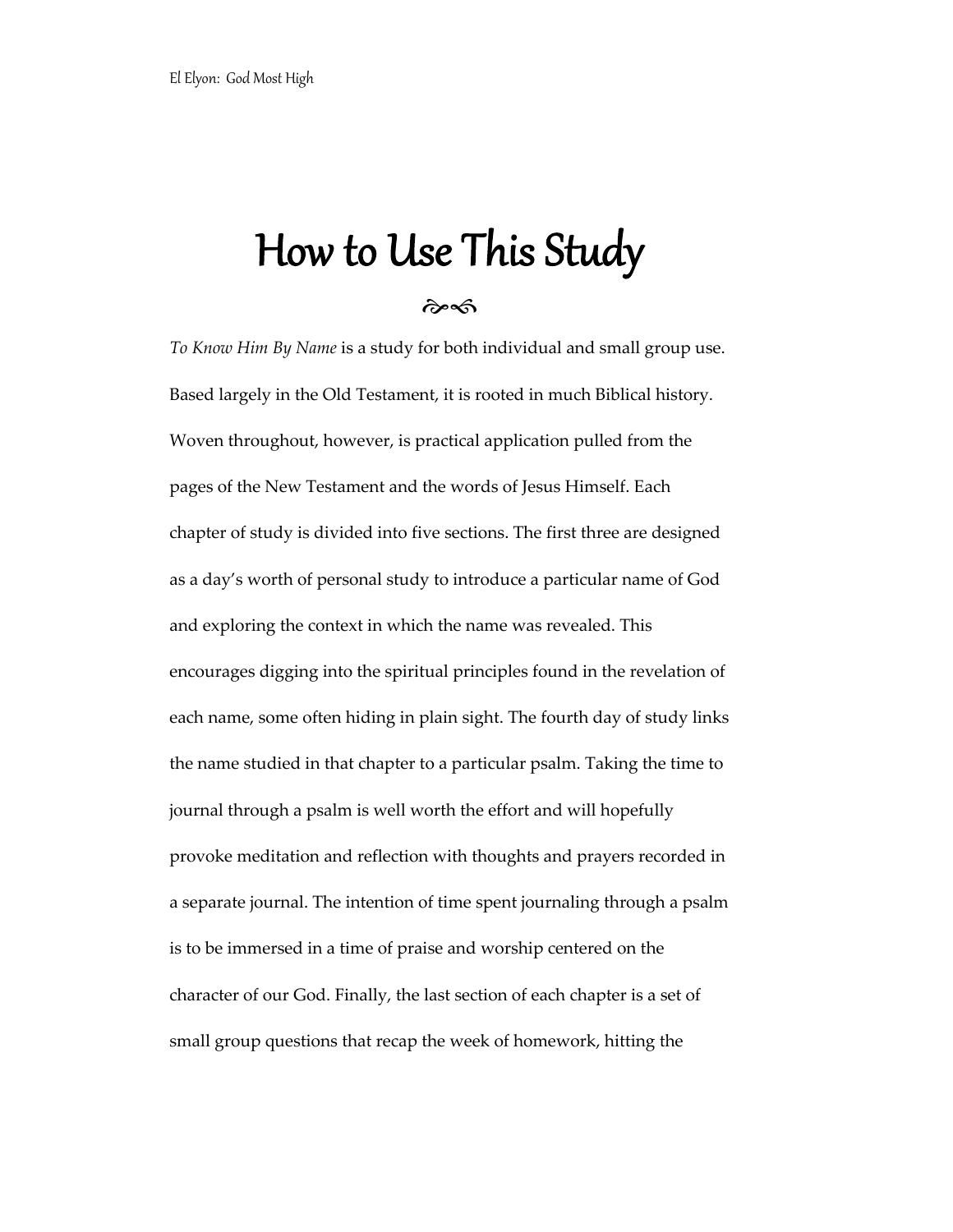## How to Use This Study

ef

*To Know Him By Name* is a study for both individual and small group use. Based largely in the Old Testament, it is rooted in much Biblical history. Woven throughout, however, is practical application pulled from the pages of the New Testament and the words of Jesus Himself. Each chapter of study is divided into five sections. The first three are designed as a day's worth of personal study to introduce a particular name of God and exploring the context in which the name was revealed. This encourages digging into the spiritual principles found in the revelation of each name, some often hiding in plain sight. The fourth day of study links the name studied in that chapter to a particular psalm. Taking the time to journal through a psalm is well worth the effort and will hopefully provoke meditation and reflection with thoughts and prayers recorded in a separate journal. The intention of time spent journaling through a psalm is to be immersed in a time of praise and worship centered on the character of our God. Finally, the last section of each chapter is a set of small group questions that recap the week of homework, hitting the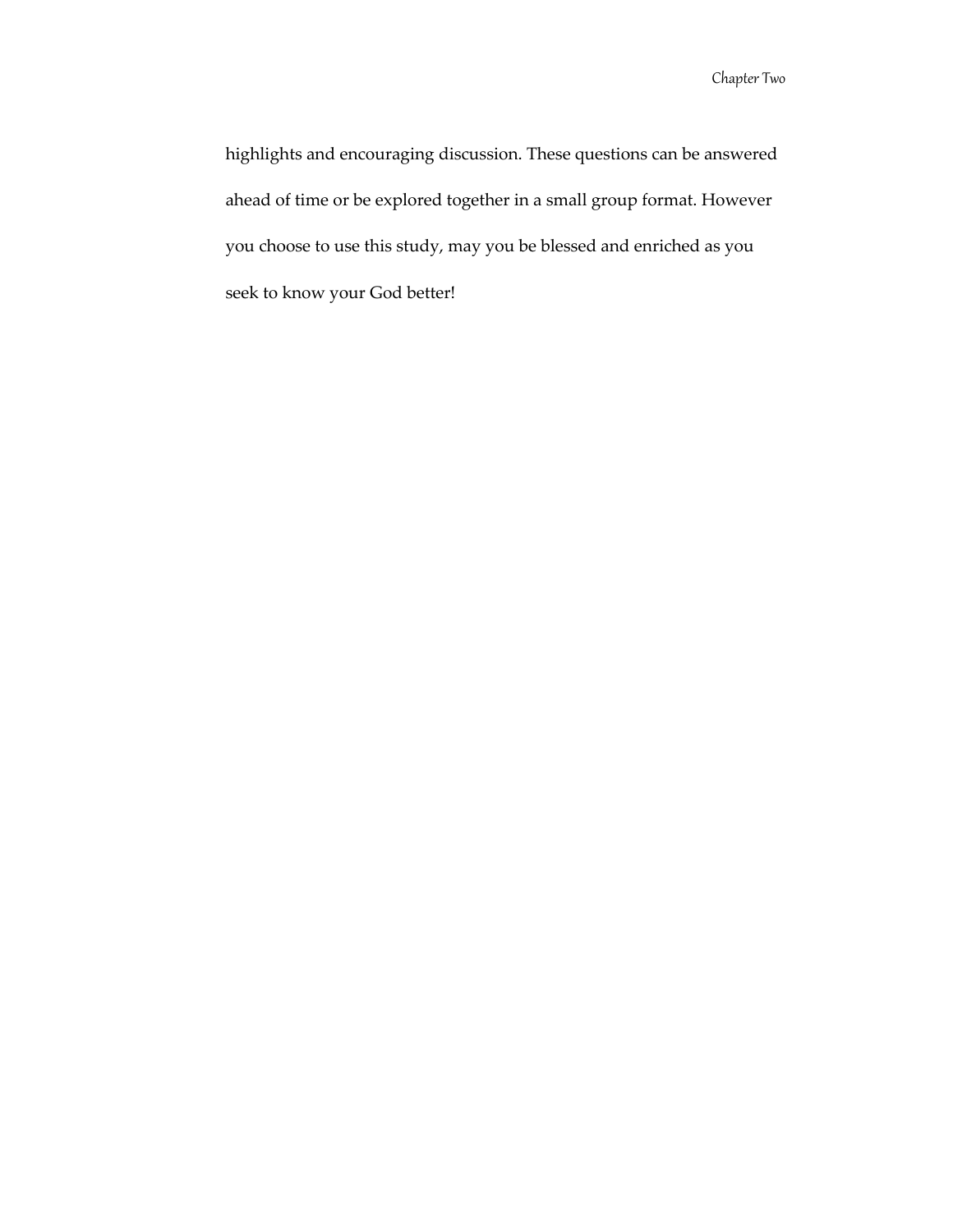Chapter Two

highlights and encouraging discussion. These questions can be answered ahead of time or be explored together in a small group format. However you choose to use this study, may you be blessed and enriched as you seek to know your God better!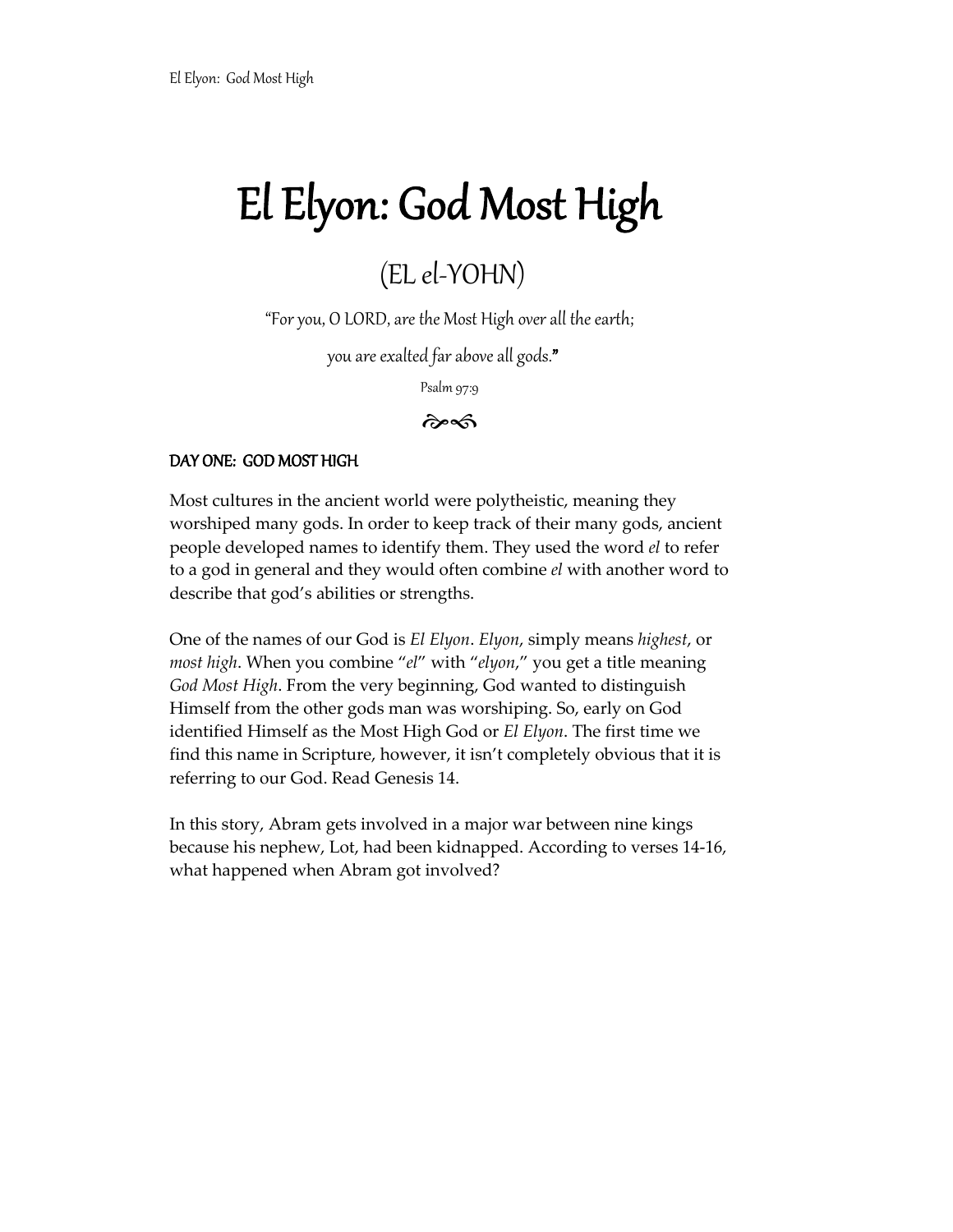### (EL el-YOHN)

"For you, O LORD, are the Most High over all the earth;

you are exalted far above all gods."

Psalm 97:9

#### $\hat{\sigma}$

#### DAY ONE: GOD MOST HIGH

Most cultures in the ancient world were polytheistic, meaning they worshiped many gods. In order to keep track of their many gods, ancient people developed names to identify them. They used the word *el* to refer to a god in general and they would often combine *el* with another word to describe that god's abilities or strengths.

One of the names of our God is *El Elyon*. *Elyon*, simply means *highest*, or *most high*. When you combine "*el*" with "*elyon*," you get a title meaning *God Most High*. From the very beginning, God wanted to distinguish Himself from the other gods man was worshiping. So, early on God identified Himself as the Most High God or *El Elyon*. The first time we find this name in Scripture, however, it isn't completely obvious that it is referring to our God. Read Genesis 14.

In this story, Abram gets involved in a major war between nine kings because his nephew, Lot, had been kidnapped. According to verses 14-16, what happened when Abram got involved?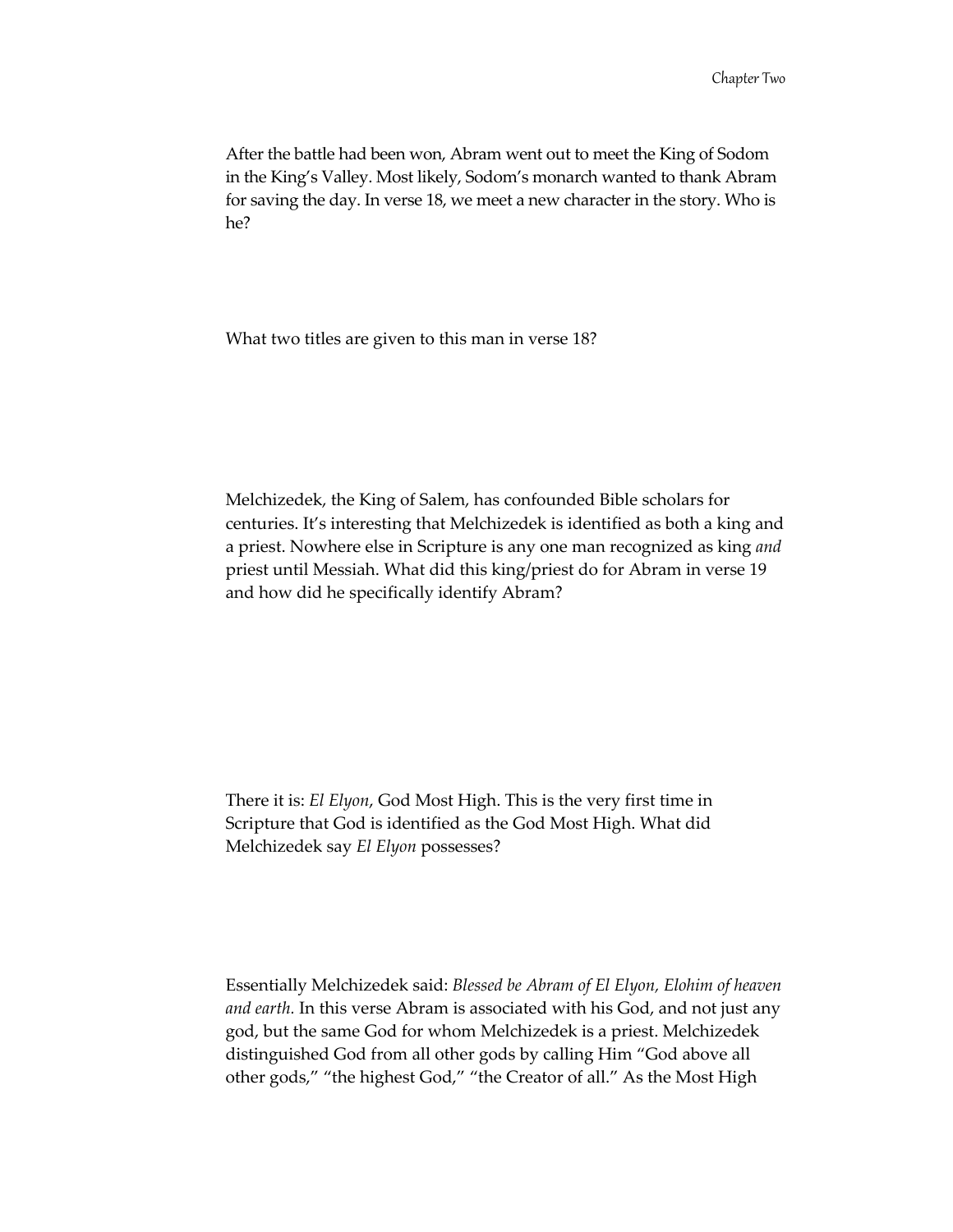After the battle had been won, Abram went out to meet the King of Sodom in the King's Valley. Most likely, Sodom's monarch wanted to thank Abram for saving the day. In verse 18, we meet a new character in the story. Who is he?

What two titles are given to this man in verse 18?

Melchizedek, the King of Salem, has confounded Bible scholars for centuries. It's interesting that Melchizedek is identified as both a king and a priest. Nowhere else in Scripture is any one man recognized as king *and* priest until Messiah. What did this king/priest do for Abram in verse 19 and how did he specifically identify Abram?

There it is: *El Elyon*, God Most High. This is the very first time in Scripture that God is identified as the God Most High. What did Melchizedek say *El Elyon* possesses?

Essentially Melchizedek said: *Blessed be Abram of El Elyon, Elohim of heaven and earth.* In this verse Abram is associated with his God, and not just any god, but the same God for whom Melchizedek is a priest. Melchizedek distinguished God from all other gods by calling Him "God above all other gods," "the highest God," "the Creator of all." As the Most High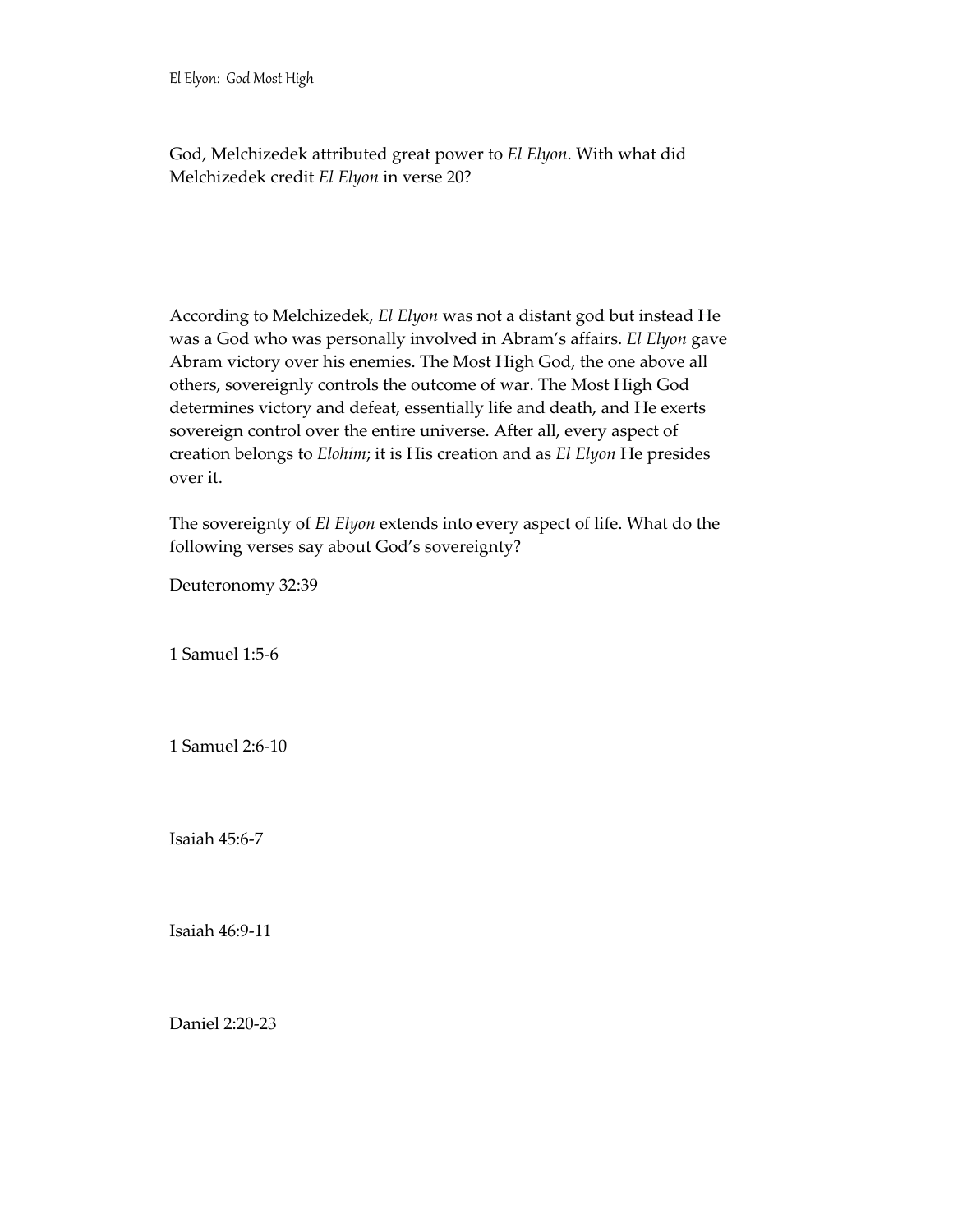God, Melchizedek attributed great power to *El Elyon*. With what did Melchizedek credit *El Elyon* in verse 20?

According to Melchizedek, *El Elyon* was not a distant god but instead He was a God who was personally involved in Abram's affairs. *El Elyon* gave Abram victory over his enemies. The Most High God, the one above all others, sovereignly controls the outcome of war. The Most High God determines victory and defeat, essentially life and death, and He exerts sovereign control over the entire universe. After all, every aspect of creation belongs to *Elohim*; it is His creation and as *El Elyon* He presides over it.

The sovereignty of *El Elyon* extends into every aspect of life. What do the following verses say about God's sovereignty?

Deuteronomy 32:39

1 Samuel 1:5-6

1 Samuel 2:6-10

Isaiah 45:6-7

Isaiah 46:9-11

Daniel 2:20-23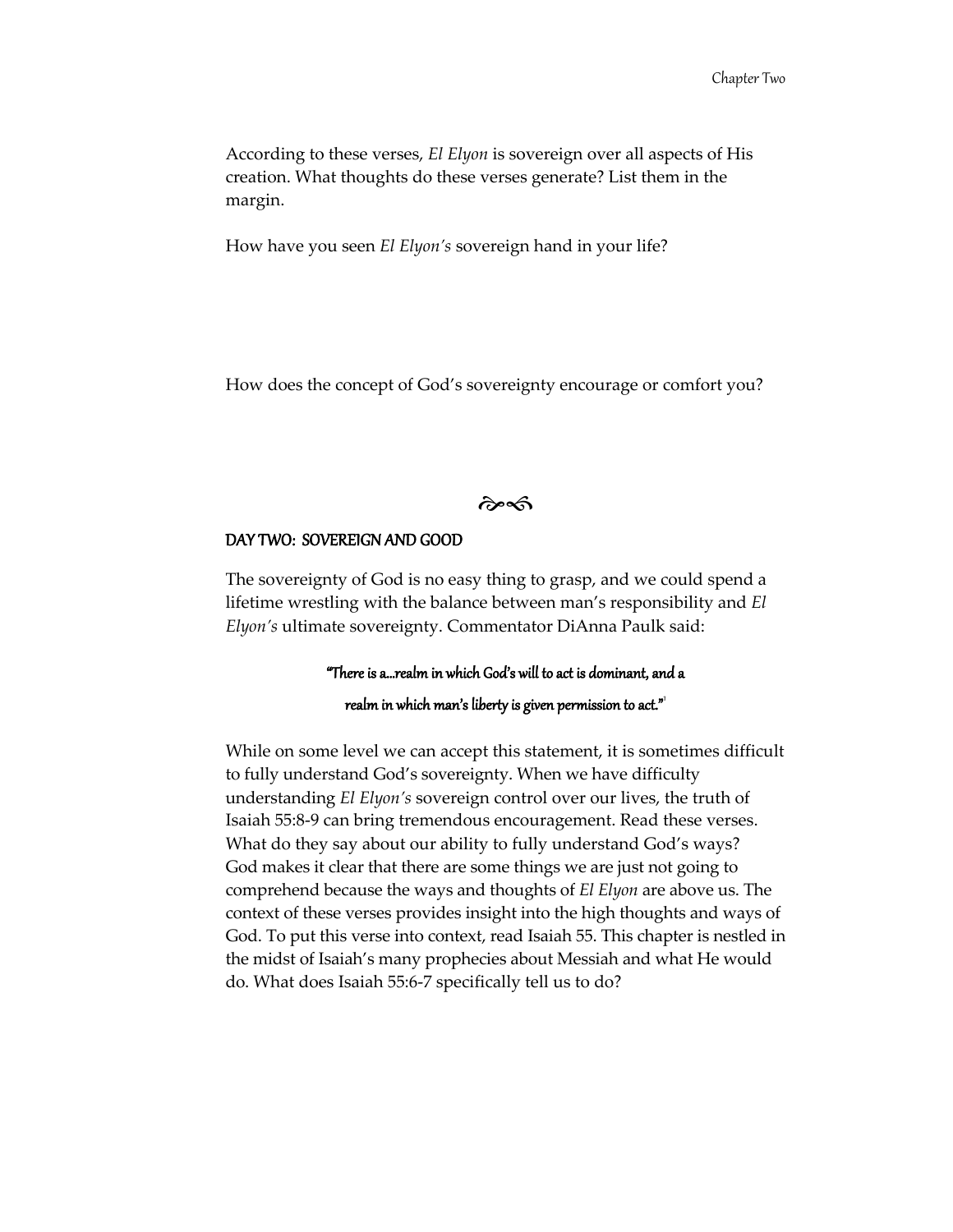According to these verses, *El Elyon* is sovereign over all aspects of His creation. What thoughts do these verses generate? List them in the margin.

How have you seen *El Elyon's* sovereign hand in your life?

How does the concept of God's sovereignty encourage or comfort you?

 $\hat{\alpha}$ 

#### DAY TWO: SOVEREIGN AND GOOD

The sovereignty of God is no easy thing to grasp, and we could spend a lifetime wrestling with the balance between man's responsibility and *El Elyon's* ultimate sovereignty. Commentator DiAnna Paulk said:

#### "There is a…realm in which God's will to act is dominant, and a realm in which man's liberty is given permission to act."<sup>'</sup>

While on some level we can accept this statement, it is sometimes difficult to fully understand God's sovereignty. When we have difficulty understanding *El Elyon's* sovereign control over our lives, the truth of Isaiah 55:8-9 can bring tremendous encouragement. Read these verses. What do they say about our ability to fully understand God's ways? God makes it clear that there are some things we are just not going to comprehend because the ways and thoughts of *El Elyon* are above us. The context of these verses provides insight into the high thoughts and ways of God. To put this verse into context, read Isaiah 55. This chapter is nestled in the midst of Isaiah's many prophecies about Messiah and what He would do. What does Isaiah 55:6-7 specifically tell us to do?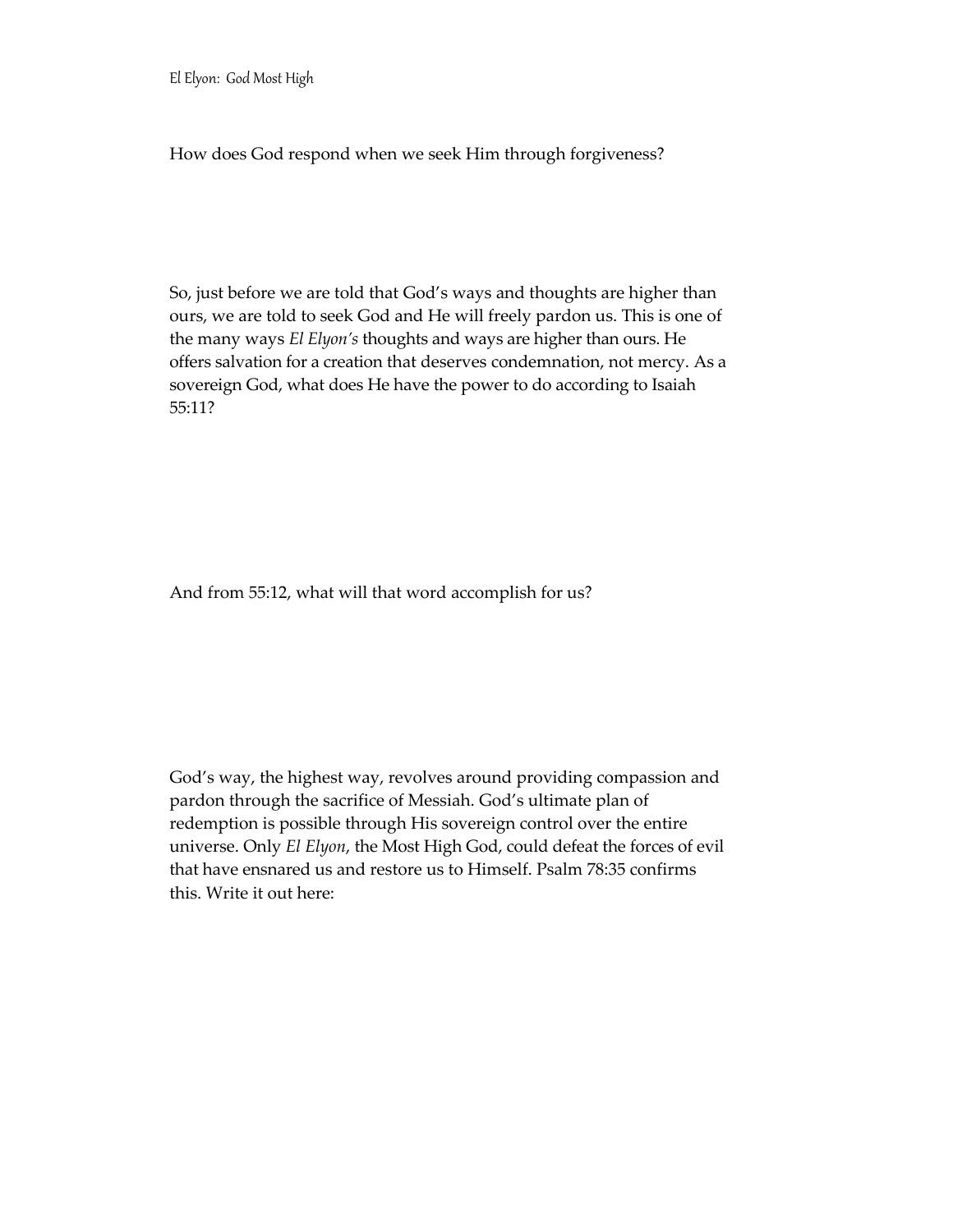How does God respond when we seek Him through forgiveness?

So, just before we are told that God's ways and thoughts are higher than ours, we are told to seek God and He will freely pardon us. This is one of the many ways *El Elyon's* thoughts and ways are higher than ours. He offers salvation for a creation that deserves condemnation, not mercy. As a sovereign God, what does He have the power to do according to Isaiah 55:11?

And from 55:12, what will that word accomplish for us?

God's way, the highest way, revolves around providing compassion and pardon through the sacrifice of Messiah. God's ultimate plan of redemption is possible through His sovereign control over the entire universe. Only *El Elyon*, the Most High God, could defeat the forces of evil that have ensnared us and restore us to Himself. Psalm 78:35 confirms this. Write it out here: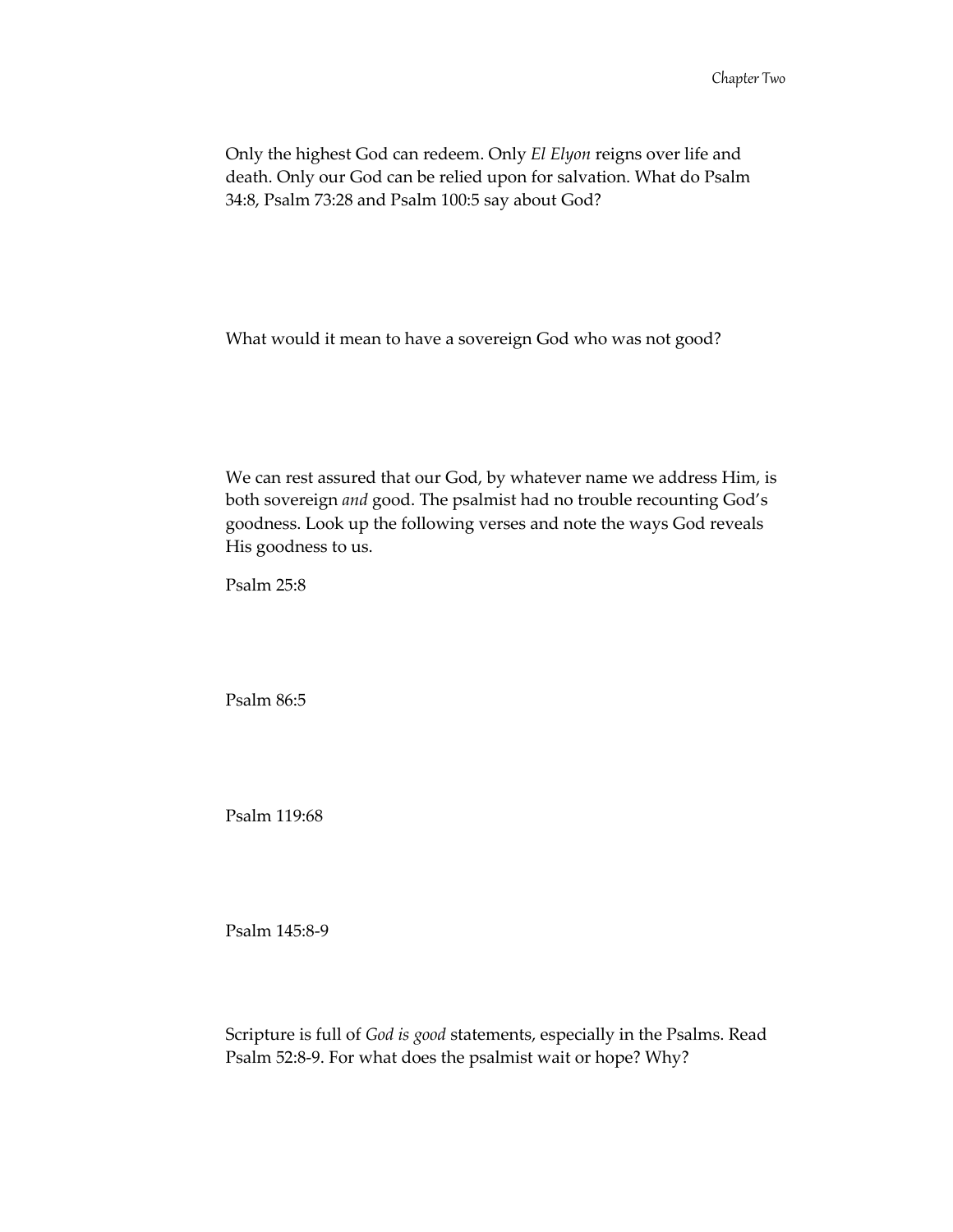Only the highest God can redeem. Only *El Elyon* reigns over life and death. Only our God can be relied upon for salvation. What do Psalm 34:8, Psalm 73:28 and Psalm 100:5 say about God?

What would it mean to have a sovereign God who was not good?

We can rest assured that our God, by whatever name we address Him, is both sovereign *and* good. The psalmist had no trouble recounting God's goodness. Look up the following verses and note the ways God reveals His goodness to us.

Psalm 25:8

Psalm 86:5

Psalm 119:68

Psalm 145:8-9

Scripture is full of *God is good* statements, especially in the Psalms. Read Psalm 52:8-9. For what does the psalmist wait or hope? Why?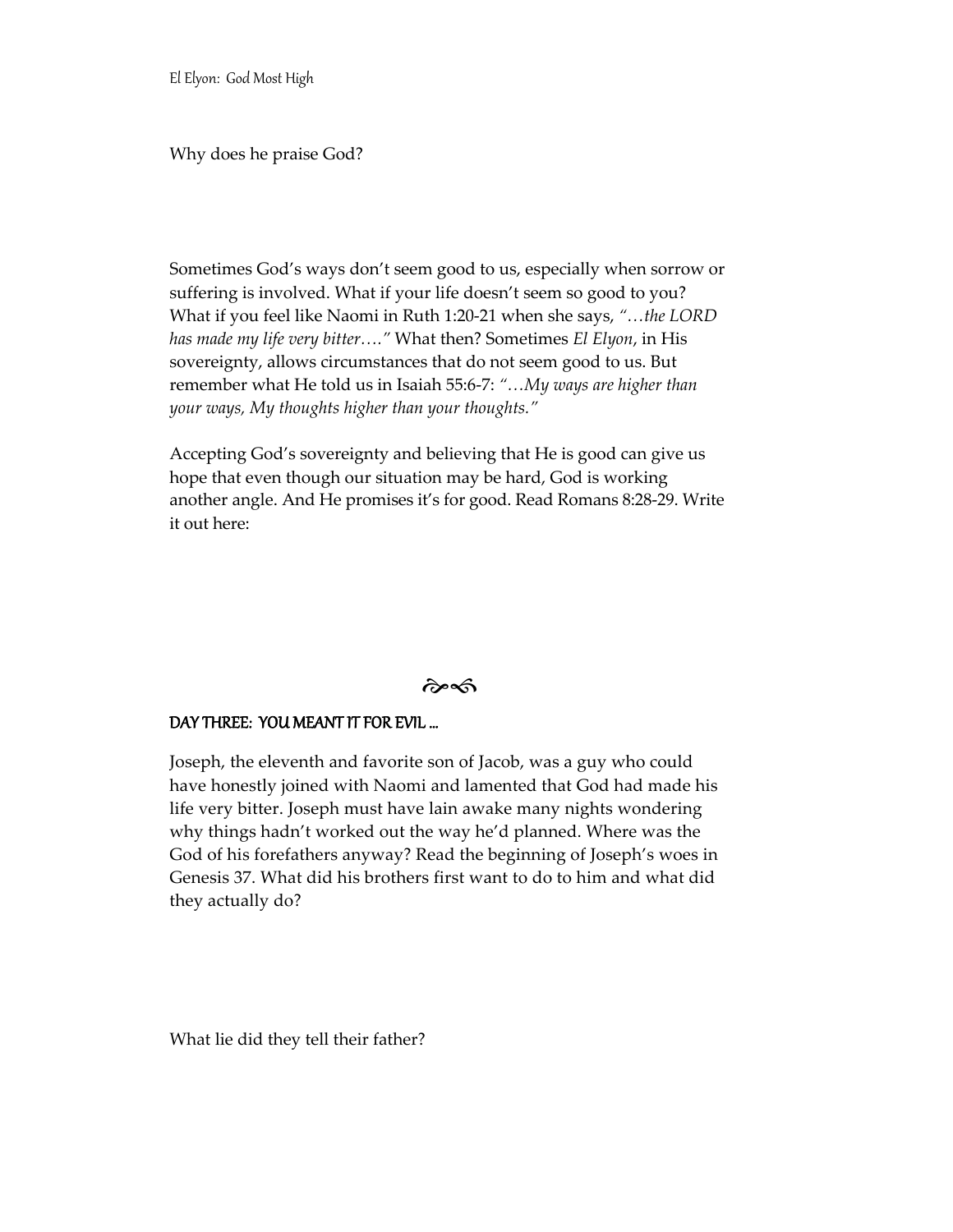Why does he praise God?

Sometimes God's ways don't seem good to us, especially when sorrow or suffering is involved. What if your life doesn't seem so good to you? What if you feel like Naomi in Ruth 1:20-21 when she says, *"…the LORD has made my life very bitter…."* What then? Sometimes *El Elyon*, in His sovereignty, allows circumstances that do not seem good to us. But remember what He told us in Isaiah 55:6-7: *"…My ways are higher than your ways, My thoughts higher than your thoughts."*

Accepting God's sovereignty and believing that He is good can give us hope that even though our situation may be hard, God is working another angle. And He promises it's for good. Read Romans 8:28-29. Write it out here:

#### $\hat{\mathcal{C}}$

#### DAY THREE: YOU MEANT IT FOR EVIL …

Joseph, the eleventh and favorite son of Jacob, was a guy who could have honestly joined with Naomi and lamented that God had made his life very bitter. Joseph must have lain awake many nights wondering why things hadn't worked out the way he'd planned. Where was the God of his forefathers anyway? Read the beginning of Joseph's woes in Genesis 37. What did his brothers first want to do to him and what did they actually do?

What lie did they tell their father?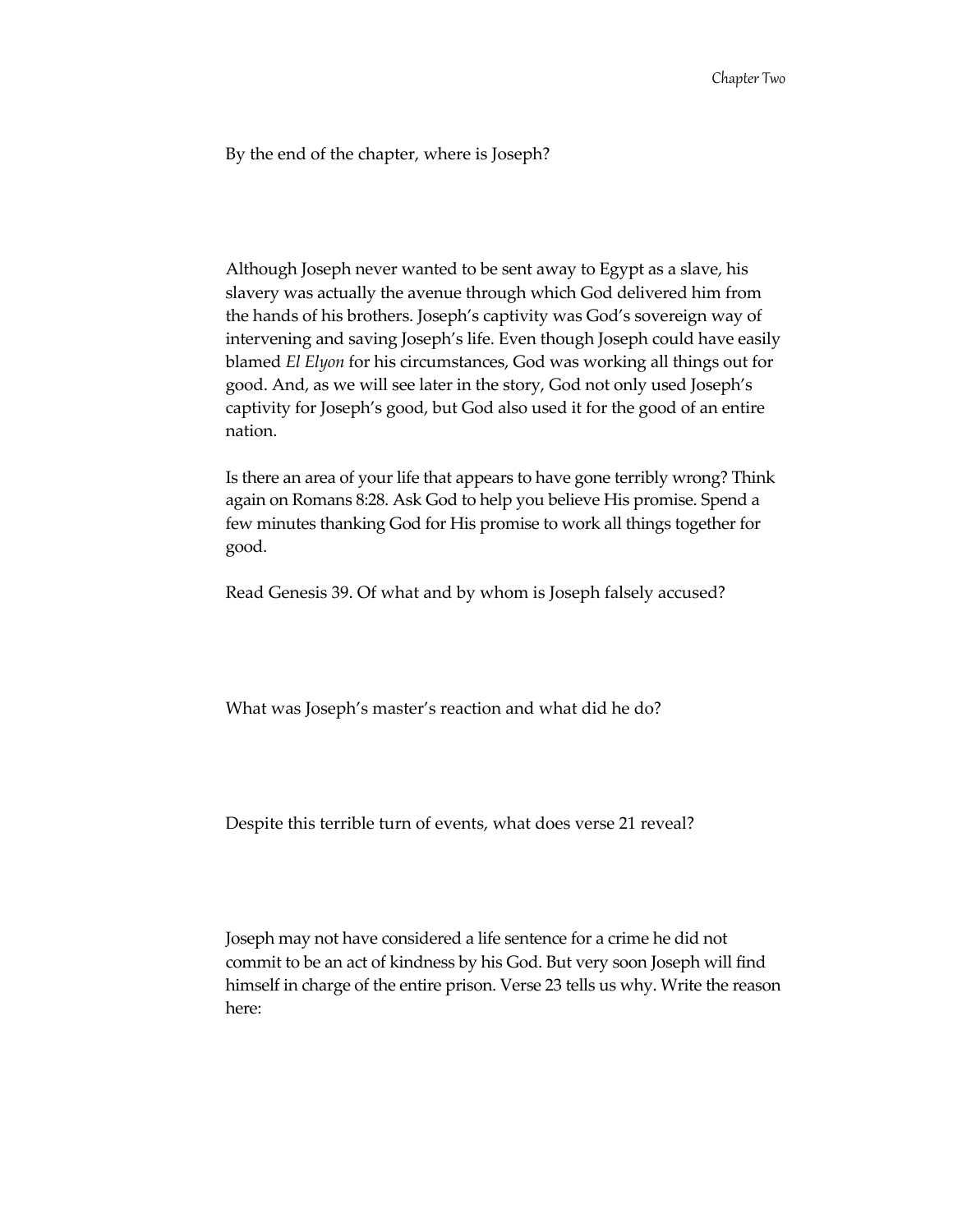By the end of the chapter, where is Joseph?

Although Joseph never wanted to be sent away to Egypt as a slave, his slavery was actually the avenue through which God delivered him from the hands of his brothers. Joseph's captivity was God's sovereign way of intervening and saving Joseph's life. Even though Joseph could have easily blamed *El Elyon* for his circumstances, God was working all things out for good. And, as we will see later in the story, God not only used Joseph's captivity for Joseph's good, but God also used it for the good of an entire nation.

Is there an area of your life that appears to have gone terribly wrong? Think again on Romans 8:28. Ask God to help you believe His promise. Spend a few minutes thanking God for His promise to work all things together for good.

Read Genesis 39. Of what and by whom is Joseph falsely accused?

What was Joseph's master's reaction and what did he do?

Despite this terrible turn of events, what does verse 21 reveal?

Joseph may not have considered a life sentence for a crime he did not commit to be an act of kindness by his God. But very soon Joseph will find himself in charge of the entire prison. Verse 23 tells us why. Write the reason here: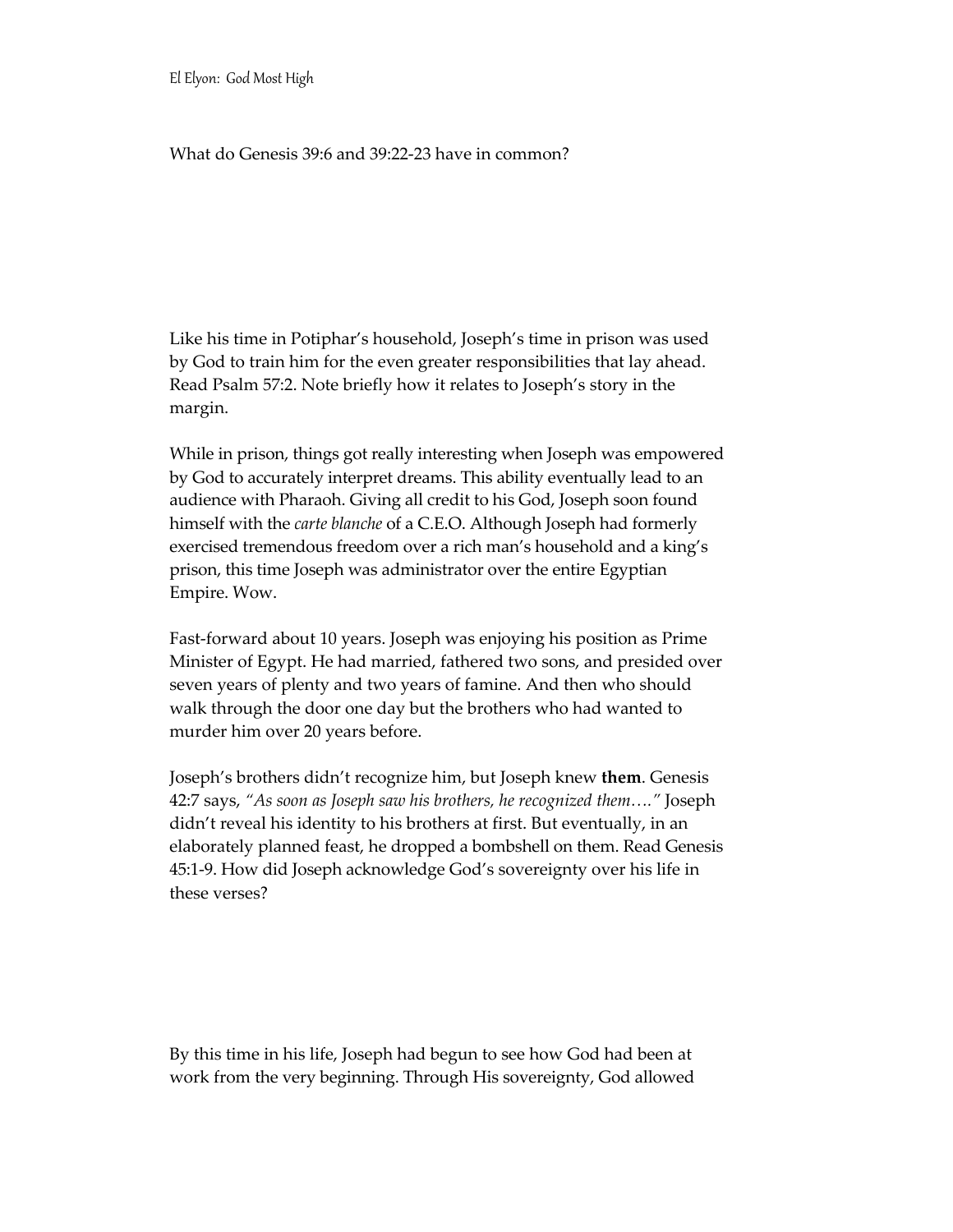#### What do Genesis 39:6 and 39:22-23 have in common?

Like his time in Potiphar's household, Joseph's time in prison was used by God to train him for the even greater responsibilities that lay ahead. Read Psalm 57:2. Note briefly how it relates to Joseph's story in the margin.

While in prison, things got really interesting when Joseph was empowered by God to accurately interpret dreams. This ability eventually lead to an audience with Pharaoh. Giving all credit to his God, Joseph soon found himself with the *carte blanche* of a C.E.O. Although Joseph had formerly exercised tremendous freedom over a rich man's household and a king's prison, this time Joseph was administrator over the entire Egyptian Empire. Wow.

Fast-forward about 10 years. Joseph was enjoying his position as Prime Minister of Egypt. He had married, fathered two sons, and presided over seven years of plenty and two years of famine. And then who should walk through the door one day but the brothers who had wanted to murder him over 20 years before.

Joseph's brothers didn't recognize him, but Joseph knew **them**. Genesis 42:7 says, *"As soon as Joseph saw his brothers, he recognized them…."* Joseph didn't reveal his identity to his brothers at first. But eventually, in an elaborately planned feast, he dropped a bombshell on them. Read Genesis 45:1-9. How did Joseph acknowledge God's sovereignty over his life in these verses?

By this time in his life, Joseph had begun to see how God had been at work from the very beginning. Through His sovereignty, God allowed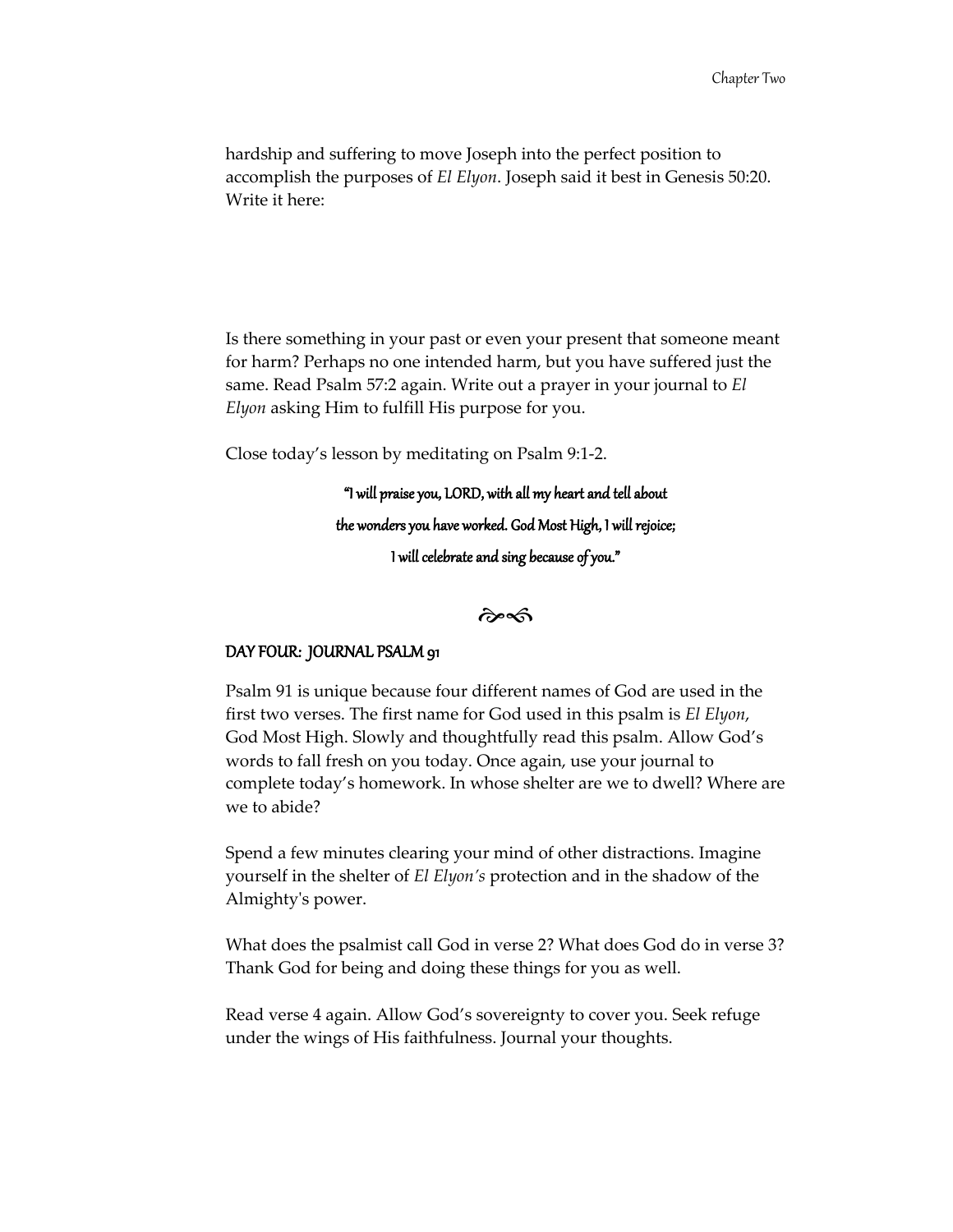hardship and suffering to move Joseph into the perfect position to accomplish the purposes of *El Elyon*. Joseph said it best in Genesis 50:20. Write it here:

Is there something in your past or even your present that someone meant for harm? Perhaps no one intended harm, but you have suffered just the same. Read Psalm 57:2 again. Write out a prayer in your journal to *El Elyon* asking Him to fulfill His purpose for you.

Close today's lesson by meditating on Psalm 9:1-2.

"I will praise you, LORD, with all my heart and tell about the wonders you have worked. God Most High, I will rejoice; I will celebrate and sing because of you."

 $\hat{\sigma}$ 

#### DAY FOUR: JOURNAL PSALM 91

Psalm 91 is unique because four different names of God are used in the first two verses. The first name for God used in this psalm is *El Elyon*, God Most High. Slowly and thoughtfully read this psalm. Allow God's words to fall fresh on you today. Once again, use your journal to complete today's homework. In whose shelter are we to dwell? Where are we to abide?

Spend a few minutes clearing your mind of other distractions. Imagine yourself in the shelter of *El Elyon's* protection and in the shadow of the Almighty's power.

What does the psalmist call God in verse 2? What does God do in verse 3? Thank God for being and doing these things for you as well.

Read verse 4 again. Allow God's sovereignty to cover you. Seek refuge under the wings of His faithfulness. Journal your thoughts.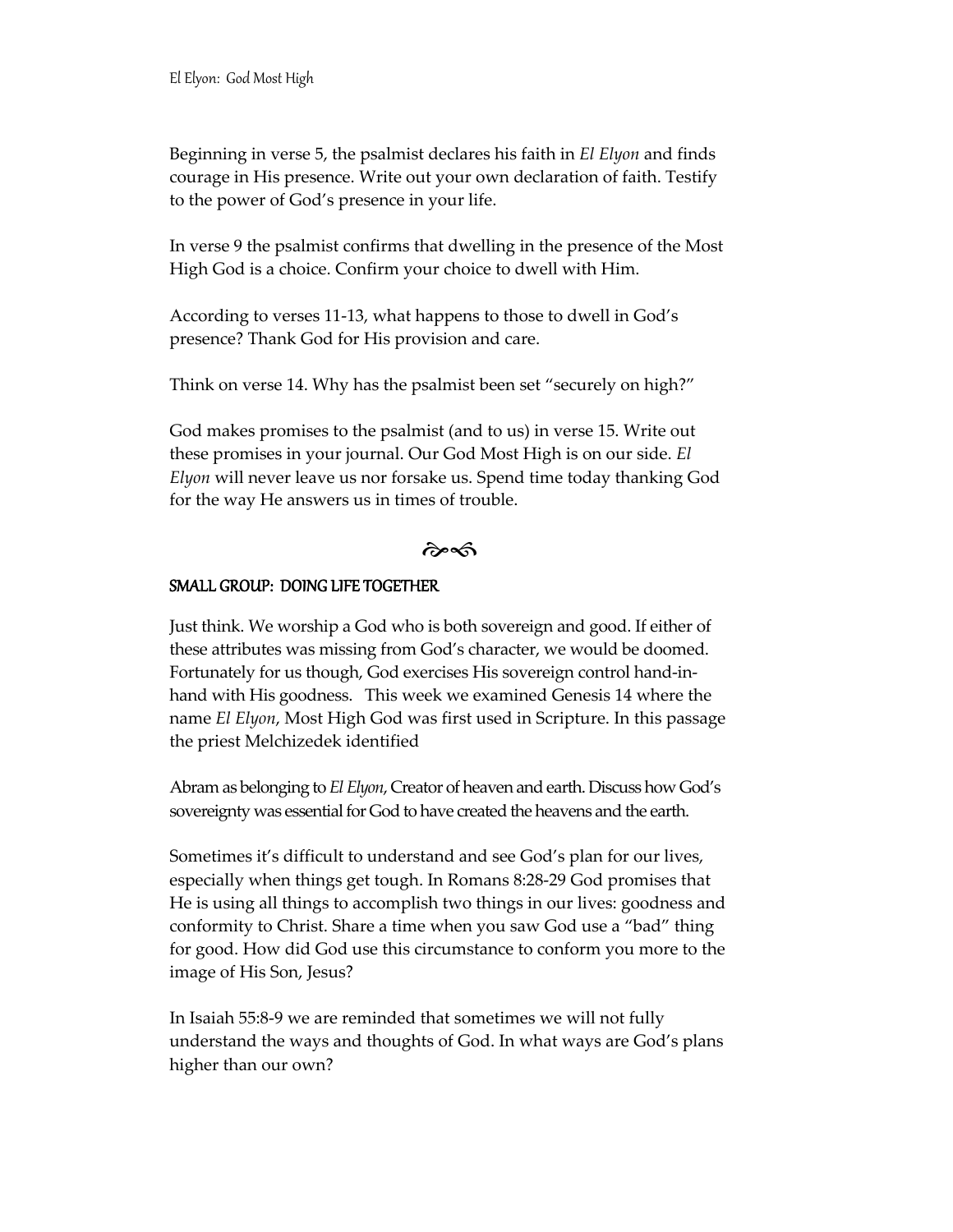Beginning in verse 5, the psalmist declares his faith in *El Elyon* and finds courage in His presence. Write out your own declaration of faith. Testify to the power of God's presence in your life.

In verse 9 the psalmist confirms that dwelling in the presence of the Most High God is a choice. Confirm your choice to dwell with Him.

According to verses 11-13, what happens to those to dwell in God's presence? Thank God for His provision and care.

Think on verse 14. Why has the psalmist been set "securely on high?"

God makes promises to the psalmist (and to us) in verse 15. Write out these promises in your journal. Our God Most High is on our side. *El Elyon* will never leave us nor forsake us. Spend time today thanking God for the way He answers us in times of trouble.

 $\hat{\sigma}$ 

#### SMALL GROUP: DOING LIFE TOGETHER

Just think. We worship a God who is both sovereign and good. If either of these attributes was missing from God's character, we would be doomed. Fortunately for us though, God exercises His sovereign control hand-inhand with His goodness. This week we examined Genesis 14 where the name *El Elyon*, Most High God was first used in Scripture. In this passage the priest Melchizedek identified

Abram as belonging to *El Elyon*, Creator of heaven and earth. Discuss how God's sovereignty was essential for God to have created the heavens and the earth.

Sometimes it's difficult to understand and see God's plan for our lives, especially when things get tough. In Romans 8:28-29 God promises that He is using all things to accomplish two things in our lives: goodness and conformity to Christ. Share a time when you saw God use a "bad" thing for good. How did God use this circumstance to conform you more to the image of His Son, Jesus?

In Isaiah 55:8-9 we are reminded that sometimes we will not fully understand the ways and thoughts of God. In what ways are God's plans higher than our own?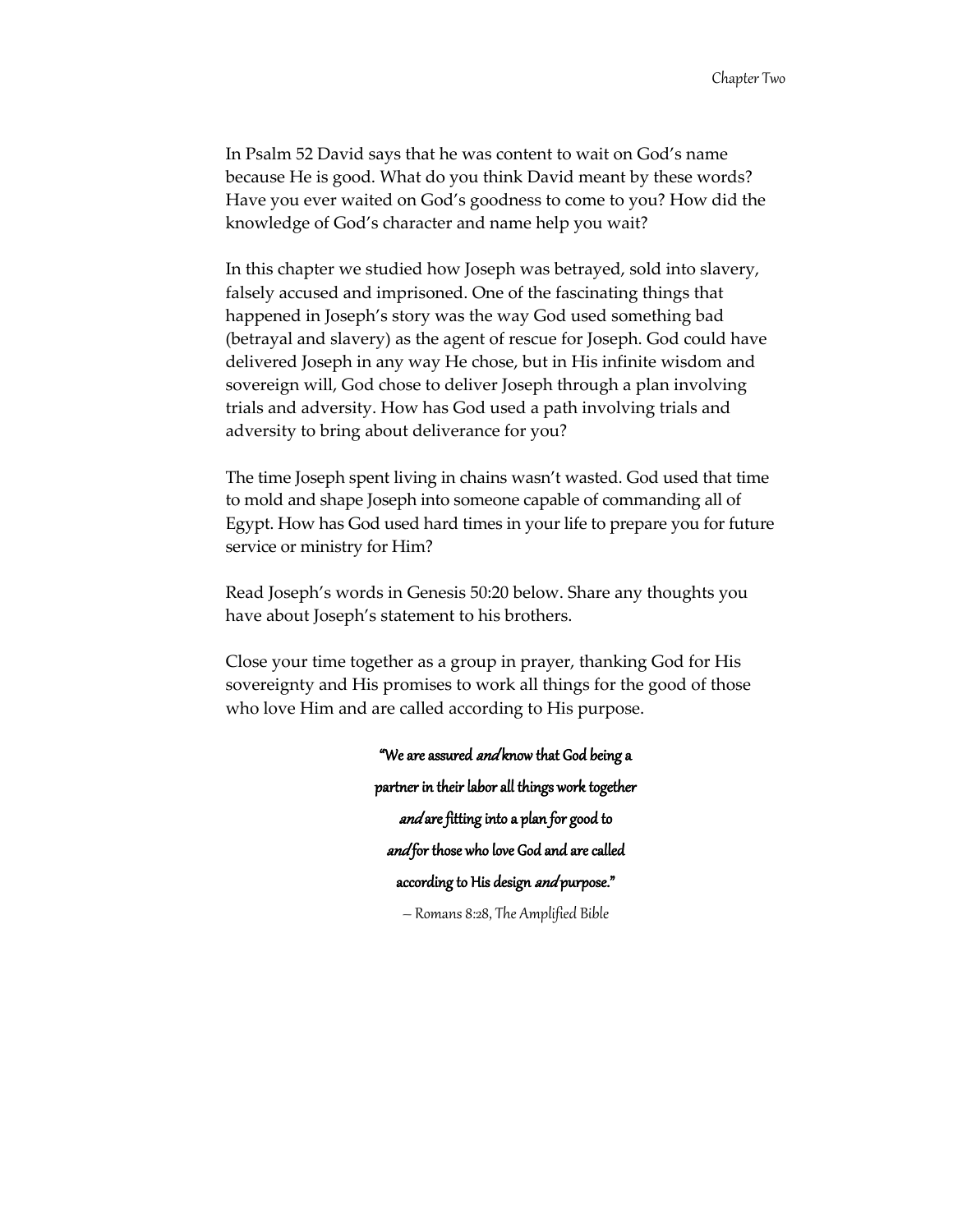In Psalm 52 David says that he was content to wait on God's name because He is good. What do you think David meant by these words? Have you ever waited on God's goodness to come to you? How did the knowledge of God's character and name help you wait?

In this chapter we studied how Joseph was betrayed, sold into slavery, falsely accused and imprisoned. One of the fascinating things that happened in Joseph's story was the way God used something bad (betrayal and slavery) as the agent of rescue for Joseph. God could have delivered Joseph in any way He chose, but in His infinite wisdom and sovereign will, God chose to deliver Joseph through a plan involving trials and adversity. How has God used a path involving trials and adversity to bring about deliverance for you?

The time Joseph spent living in chains wasn't wasted. God used that time to mold and shape Joseph into someone capable of commanding all of Egypt. How has God used hard times in your life to prepare you for future service or ministry for Him?

Read Joseph's words in Genesis 50:20 below. Share any thoughts you have about Joseph's statement to his brothers.

Close your time together as a group in prayer, thanking God for His sovereignty and His promises to work all things for the good of those who love Him and are called according to His purpose.

> "We are assured and know that God being a partner in their labor all things work together and are fitting into a plan for good to and for those who love God and are called according to His design *and* purpose." – Romans 8:28, The Amplified Bible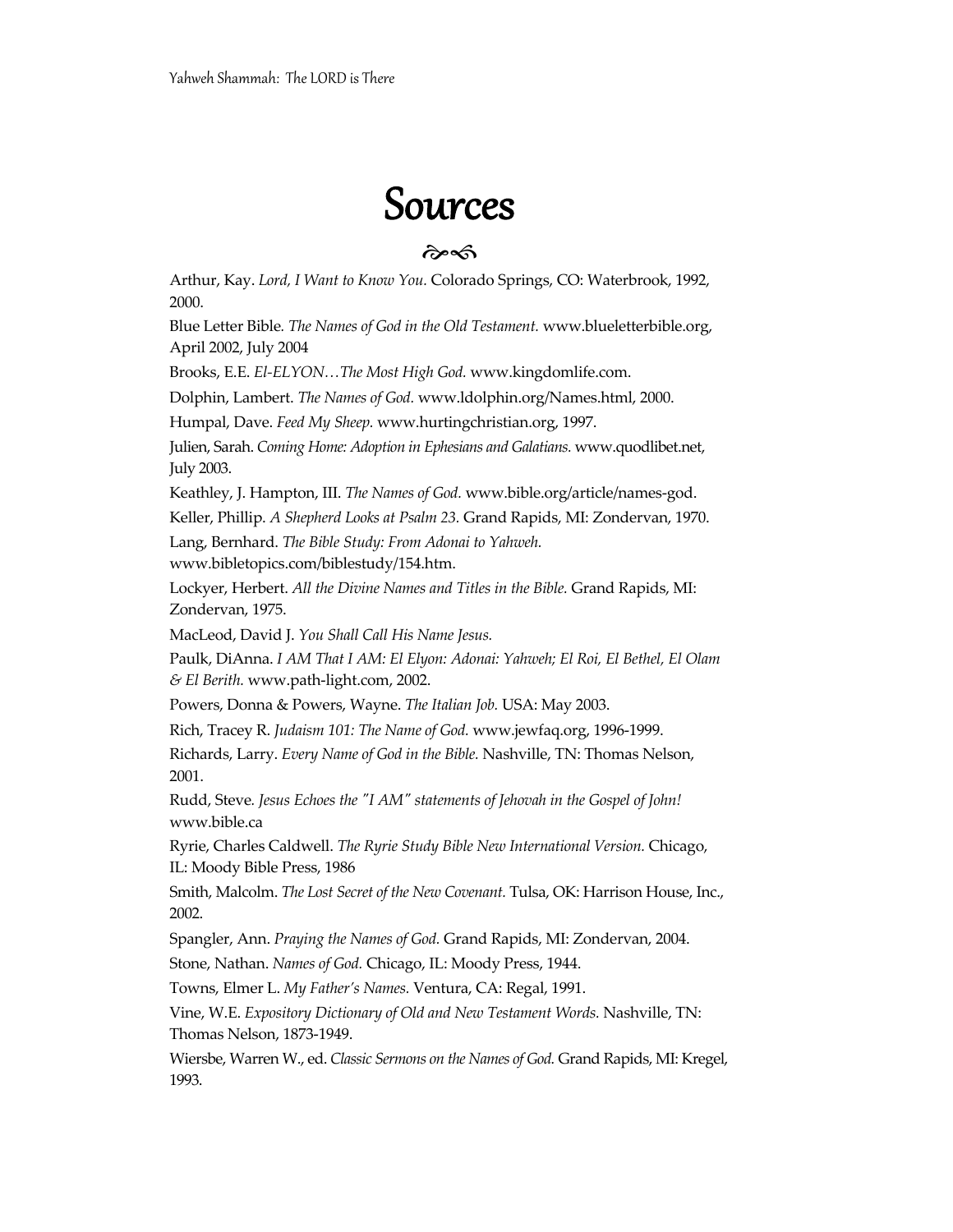## Sources

#### $\hat{\sigma}$

Arthur, Kay. *Lord, I Want to Know You.* Colorado Springs, CO: Waterbrook, 1992, 2000.

Blue Letter Bible*. The Names of God in the Old Testament.* www.blueletterbible.org, April 2002, July 2004

Brooks, E.E. *El-ELYON…The Most High God.* www.kingdomlife.com.

Dolphin, Lambert. *The Names of God.* www.ldolphin.org/Names.html, 2000.

Humpal, Dave. *Feed My Sheep.* www.hurtingchristian.org, 1997.

Julien, Sarah. *Coming Home: Adoption in Ephesians and Galatians.* www.quodlibet.net, July 2003.

Keathley, J. Hampton, III. *The Names of God.* www.bible.org/article/names-god.

Keller, Phillip. *A Shepherd Looks at Psalm 23.* Grand Rapids, MI: Zondervan, 1970.

Lang, Bernhard. *The Bible Study: From Adonai to Yahweh.* 

www.bibletopics.com/biblestudy/154.htm.

Lockyer, Herbert. *All the Divine Names and Titles in the Bible.* Grand Rapids, MI: Zondervan, 1975.

MacLeod, David J. *You Shall Call His Name Jesus.* 

Paulk, DiAnna. *I AM That I AM: El Elyon: Adonai: Yahweh; El Roi, El Bethel, El Olam & El Berith.* www.path-light.com, 2002.

Powers, Donna & Powers, Wayne. *The Italian Job.* USA: May 2003.

Rich, Tracey R. *Judaism 101: The Name of God.* www.jewfaq.org, 1996-1999.

Richards, Larry. *Every Name of God in the Bible*. Nashville, TN: Thomas Nelson, 2001.

Rudd, Steve*. Jesus Echoes the "I AM" statements of Jehovah in the Gospel of John!* www.bible.ca

Ryrie, Charles Caldwell. *The Ryrie Study Bible New International Version.* Chicago, IL: Moody Bible Press, 1986

Smith, Malcolm. *The Lost Secret of the New Covenant.* Tulsa, OK: Harrison House, Inc., 2002.

Spangler, Ann. *Praying the Names of God.* Grand Rapids, MI: Zondervan, 2004.

Stone, Nathan. *Names of God.* Chicago, IL: Moody Press, 1944.

Towns, Elmer L. *My Father's Names.* Ventura, CA: Regal, 1991.

Vine, W.E. *Expository Dictionary of Old and New Testament Words.* Nashville, TN: Thomas Nelson, 1873-1949.

Wiersbe, Warren W., ed. *Classic Sermons on the Names of God.* Grand Rapids, MI: Kregel, 1993.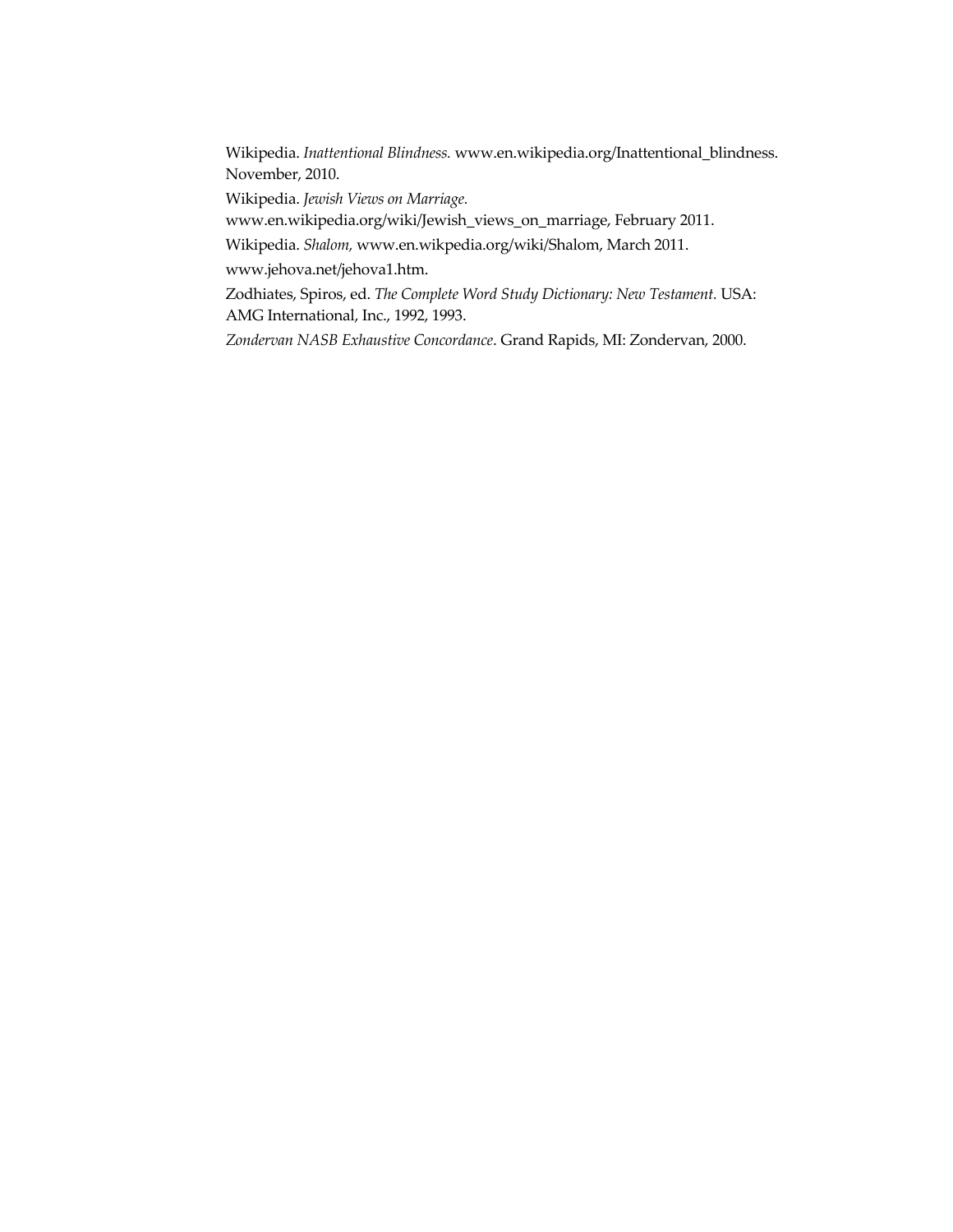Wikipedia. *Inattentional Blindness.* www.en.wikipedia.org/Inattentional\_blindness. November, 2010.

Wikipedia. *Jewish Views on Marriage.* 

www.en.wikipedia.org/wiki/Jewish\_views\_on\_marriage, February 2011.

Wikipedia. *Shalom,* www.en.wikpedia.org/wiki/Shalom, March 2011.

www.jehova.net/jehova1.htm.

Zodhiates, Spiros, ed. *The Complete Word Study Dictionary: New Testament.* USA: AMG International, Inc., 1992, 1993.

*Zondervan NASB Exhaustive Concordance*. Grand Rapids, MI: Zondervan, 2000.